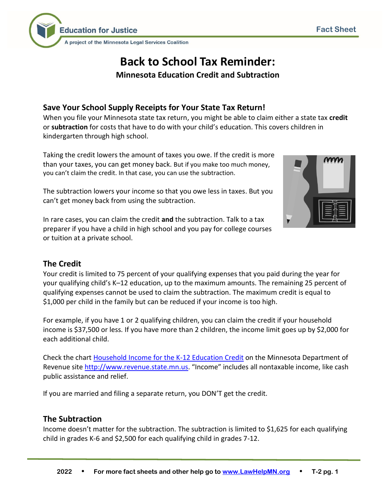

# **Back to School Tax Reminder:**

**Minnesota Education Credit and Subtraction**

# **Save Your School Supply Receipts for Your State Tax Return!**

When you file your Minnesota state tax return, you might be able to claim either a state tax **credit**  or **subtraction** for costs that have to do with your child's education. This covers children in kindergarten through high school.

Taking the credit lowers the amount of taxes you owe. If the credit is more than your taxes, you can get money back. But if you make too much money, you can't claim the credit. In that case, you can use the subtraction.

The subtraction lowers your income so that you owe less in taxes. But you can't get money back from using the subtraction.

In rare cases, you can claim the credit **and** the subtraction. Talk to a tax preparer if you have a child in high school and you pay for college courses or tuition at a private school.

# **The Credit**

Your credit is limited to 75 percent of your qualifying expenses that you paid during the year for your qualifying child's K–12 education, up to the maximum amounts. The remaining 25 percent of qualifying expenses cannot be used to claim the subtraction. The maximum credit is equal to \$1,000 per child in the family but can be reduced if your income is too high.

For example, if you have 1 or 2 qualifying children, you can claim the credit if your household income is \$37,500 or less. If you have more than 2 children, the income limit goes up by \$2,000 for each additional child.

Check the chart [Household Income for the K-12 Education Credit](https://www.revenue.state.mn.us/household-income-k-12-education-credit) on the Minnesota Department of Revenue site [http://www.revenue.state.mn.us.](http://www.revenue.state.mn.us/) "Income" includes all nontaxable income, like cash public assistance and relief.

If you are married and filing a separate return, you DON'T get the credit.

### **The Subtraction**

Income doesn't matter for the subtraction. The subtraction is limited to \$1,625 for each qualifying child in grades K-6 and \$2,500 for each qualifying child in grades 7-12.

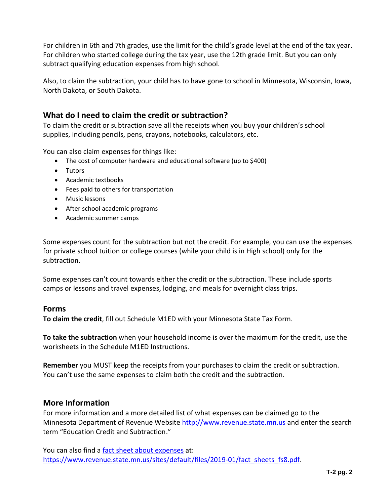For children in 6th and 7th grades, use the limit for the child's grade level at the end of the tax year. For children who started college during the tax year, use the 12th grade limit. But you can only subtract qualifying education expenses from high school.

Also, to claim the subtraction, your child has to have gone to school in Minnesota, Wisconsin, Iowa, North Dakota, or South Dakota.

## **What do I need to claim the credit or subtraction?**

To claim the credit or subtraction save all the receipts when you buy your children's school supplies, including pencils, pens, crayons, notebooks, calculators, etc.

You can also claim expenses for things like:

- The cost of computer hardware and educational software (up to \$400)
- Tutors
- Academic textbooks
- Fees paid to others for transportation
- Music lessons
- After school academic programs
- Academic summer camps

Some expenses count for the subtraction but not the credit. For example, you can use the expenses for private school tuition or college courses (while your child is in High school) only for the subtraction.

Some expenses can't count towards either the credit or the subtraction. These include sports camps or lessons and travel expenses, lodging, and meals for overnight class trips.

#### **Forms**

**To claim the credit**, fill out Schedule M1ED with your Minnesota State Tax Form.

**To take the subtraction** when your household income is over the maximum for the credit, use the worksheets in the Schedule M1ED Instructions.

 You can't use the same expenses to claim both the credit and the subtraction. **Remember** you MUST keep the receipts from your purchases to claim the credit or subtraction.

### **More Information**

For more information and a more detailed list of what expenses can be claimed go to the Minnesota Department of Revenue Website [http://www.revenue.state.mn.us](http://www.revenue.state.mn.us/) and enter the search term "Education Credit and Subtraction."

You can also find a [fact sheet about expenses](https://www.revenue.state.mn.us/sites/default/files/2019-01/fact_sheets_fs8.pdf) at: https://www.revenue.state.mn.us/sites/default/files/2019-01/fact sheets fs8.pdf.